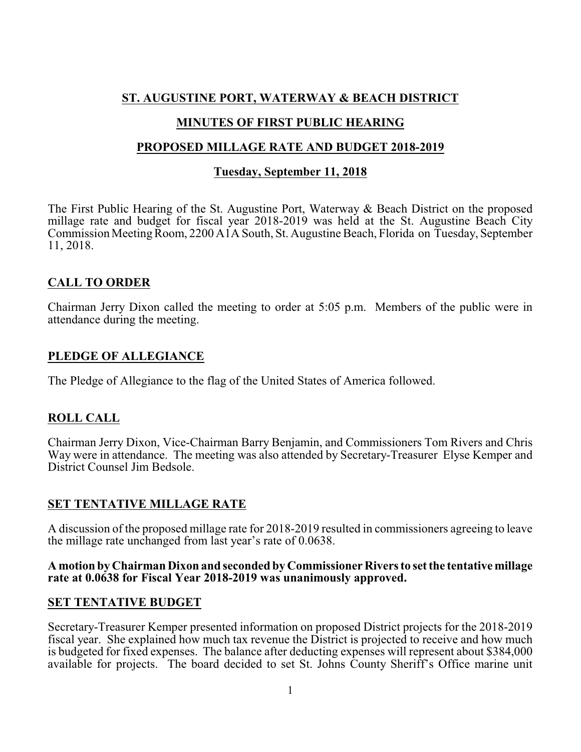## **ST. AUGUSTINE PORT, WATERWAY & BEACH DISTRICT**

## **MINUTES OF FIRST PUBLIC HEARING**

### **PROPOSED MILLAGE RATE AND BUDGET 2018-2019**

## **Tuesday, September 11, 2018**

The First Public Hearing of the St. Augustine Port, Waterway & Beach District on the proposed millage rate and budget for fiscal year 2018-2019 was held at the St. Augustine Beach City Commission Meeting Room, 2200 A1A South, St. Augustine Beach, Florida on Tuesday, September 11, 2018.

# **CALL TO ORDER**

Chairman Jerry Dixon called the meeting to order at 5:05 p.m. Members of the public were in attendance during the meeting.

### **PLEDGE OF ALLEGIANCE**

The Pledge of Allegiance to the flag of the United States of America followed.

# **ROLL CALL**

Chairman Jerry Dixon, Vice-Chairman Barry Benjamin, and Commissioners Tom Rivers and Chris Way were in attendance. The meeting was also attended by Secretary-Treasurer Elyse Kemper and District Counsel Jim Bedsole.

# **SET TENTATIVE MILLAGE RATE**

A discussion of the proposed millage rate for 2018-2019 resulted in commissioners agreeing to leave the millage rate unchanged from last year's rate of 0.0638.

#### **A motion by Chairman Dixon and seconded by Commissioner Rivers to set the tentative millage rate at 0.0638 for Fiscal Year 2018-2019 was unanimously approved.**

### **SET TENTATIVE BUDGET**

Secretary-Treasurer Kemper presented information on proposed District projects for the 2018-2019 fiscal year. She explained how much tax revenue the District is projected to receive and how much is budgeted for fixed expenses. The balance after deducting expenses will represent about \$384,000 available for projects. The board decided to set St. Johns County Sheriff's Office marine unit